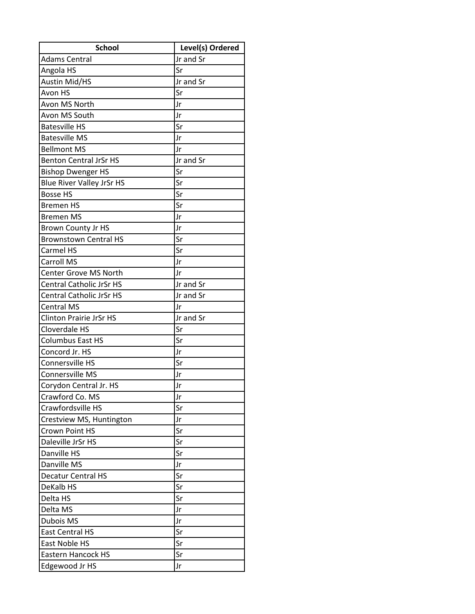| <b>School</b>                    | Level(s) Ordered |
|----------------------------------|------------------|
| <b>Adams Central</b>             | Jr and Sr        |
| Angola HS                        | Sr               |
| <b>Austin Mid/HS</b>             | Jr and Sr        |
| Avon HS                          | Sr               |
| Avon MS North                    | Jr               |
| Avon MS South                    | Jr               |
| <b>Batesville HS</b>             | Sr               |
| <b>Batesville MS</b>             | Jr               |
| <b>Bellmont MS</b>               | Jr               |
| <b>Benton Central JrSr HS</b>    | Jr and Sr        |
| <b>Bishop Dwenger HS</b>         | Sr               |
| <b>Blue River Valley JrSr HS</b> | Sr               |
| <b>Bosse HS</b>                  | Sr               |
| <b>Bremen HS</b>                 | Sr               |
| <b>Bremen MS</b>                 | Jr               |
| <b>Brown County Jr HS</b>        | Jr               |
| <b>Brownstown Central HS</b>     | Sr               |
| Carmel HS                        | Sr               |
| <b>Carroll MS</b>                | Jr               |
| Center Grove MS North            | Jr               |
| <b>Central Catholic JrSr HS</b>  | Jr and Sr        |
| <b>Central Catholic JrSr HS</b>  | Jr and Sr        |
| <b>Central MS</b>                | Jr               |
| <b>Clinton Prairie JrSr HS</b>   | Jr and Sr        |
| Cloverdale HS                    | Sr               |
| <b>Columbus East HS</b>          | Sr               |
| Concord Jr. HS                   | Jr               |
| Connersville HS                  | Sr               |
| Connersville MS                  | Jr               |
| Corydon Central Jr. HS           | Jr               |
| Crawford Co. MS                  | Jr               |
| Crawfordsville HS                | Sr               |
| Crestview MS, Huntington         | Jr               |
| Crown Point HS                   | Sr               |
| Daleville JrSr HS                | Sr               |
| Danville HS                      | Sr               |
| Danville MS                      | Jr               |
| <b>Decatur Central HS</b>        | Sr               |
| DeKalb HS                        | Sr               |
| Delta HS                         | Sr               |
| Delta MS                         | Jr               |
| <b>Dubois MS</b>                 | Jr               |
| <b>East Central HS</b>           | Sr               |
| East Noble HS                    | Sr               |
| <b>Eastern Hancock HS</b>        | Sr               |
| Edgewood Jr HS                   | Jr               |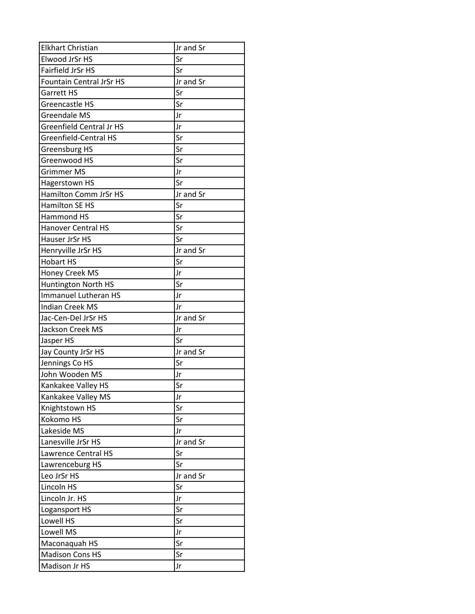| <b>Elkhart Christian</b>        | Jr and Sr |
|---------------------------------|-----------|
| Elwood JrSr HS                  | Sr        |
| Fairfield JrSr HS               | Sr        |
| <b>Fountain Central JrSr HS</b> | Jr and Sr |
| Garrett HS                      | Sr        |
| Greencastle HS                  | Sr        |
| <b>Greendale MS</b>             | Jr        |
| <b>Greenfield Central Jr HS</b> | Jr        |
| <b>Greenfield-Central HS</b>    | Sr        |
| <b>Greensburg HS</b>            | Sr        |
| Greenwood HS                    | Sr        |
| <b>Grimmer MS</b>               | Jr        |
| Hagerstown HS                   | Sr        |
| Hamilton Comm JrSr HS           | Jr and Sr |
| <b>Hamilton SE HS</b>           | Sr        |
| <b>Hammond HS</b>               | Sr        |
| <b>Hanover Central HS</b>       | Sr        |
| Hauser JrSr HS                  | Sr        |
| Henryville JrSr HS              | Jr and Sr |
| <b>Hobart HS</b>                | Sr        |
| Honey Creek MS                  | Jr        |
| Huntington North HS             | Sr        |
| <b>Immanuel Lutheran HS</b>     | Jr        |
| <b>Indian Creek MS</b>          | Jr        |
| Jac-Cen-Del JrSr HS             | Jr and Sr |
| Jackson Creek MS                | Jr        |
| Jasper HS                       | Sr        |
| Jay County JrSr HS              | Jr and Sr |
| Jennings Co HS                  | Sr        |
| John Wooden MS                  | Jr        |
| Kankakee Valley HS              | Sr        |
| Kankakee Valley MS              | Jr        |
| Knightstown HS                  | Sr        |
| Kokomo HS                       | Sr        |
| Lakeside MS                     | Jr        |
| Lanesville JrSr HS              | Jr and Sr |
| Lawrence Central HS             | Sr        |
| Lawrenceburg HS                 | Sr        |
| Leo JrSr HS                     | Jr and Sr |
| Lincoln HS                      | Sr        |
| Lincoln Jr. HS                  | Jr        |
| Logansport HS                   | Sr        |
| Lowell HS                       | Sr        |
| Lowell MS                       | Jr        |
| Maconaquah HS                   | Sr        |
| <b>Madison Cons HS</b>          | Sr        |
| Madison Jr HS                   | Jr        |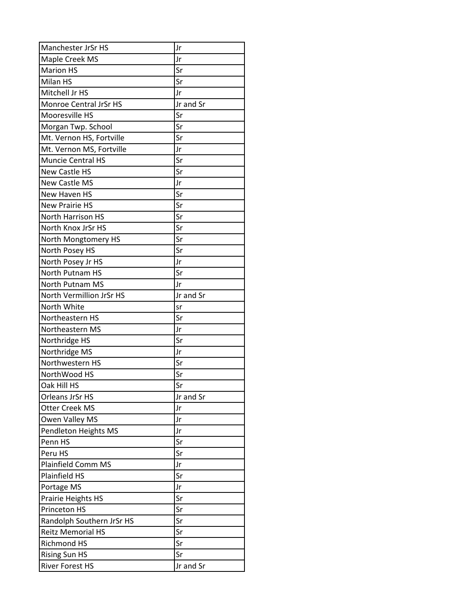| Manchester JrSr HS        | Jr        |
|---------------------------|-----------|
| Maple Creek MS            | Jr        |
| <b>Marion HS</b>          | Sr        |
| Milan HS                  | Sr        |
| Mitchell Jr HS            | Jr        |
| Monroe Central JrSr HS    | Jr and Sr |
| Mooresville HS            | Sr        |
| Morgan Twp. School        | Sr        |
| Mt. Vernon HS, Fortville  | Sr        |
| Mt. Vernon MS, Fortville  | Jr        |
| <b>Muncie Central HS</b>  | Sr        |
| <b>New Castle HS</b>      | Sr        |
| <b>New Castle MS</b>      | Jr        |
| New Haven HS              | Sr        |
| <b>New Prairie HS</b>     | Sr        |
| <b>North Harrison HS</b>  | Sr        |
| North Knox JrSr HS        | Sr        |
| North Mongtomery HS       | Sr        |
| North Posey HS            | Sr        |
| North Posey Jr HS         | Jr        |
| North Putnam HS           | Sr        |
| <b>North Putnam MS</b>    | Jr        |
| North Vermillion JrSr HS  | Jr and Sr |
| North White               | sr        |
| Northeastern HS           | Sr        |
| Northeastern MS           | Jr        |
| Northridge HS             | Sr        |
| Northridge MS             | Jr        |
| Northwestern HS           | Sr        |
| NorthWood HS              | Sr        |
| Oak Hill HS               | Sr        |
| Orleans JrSr HS           | Jr and Sr |
| Otter Creek MS            | Jr        |
| Owen Valley MS            | Jr        |
| Pendleton Heights MS      | Jr        |
| Penn HS                   | Sr        |
| Peru HS                   | Sr        |
| <b>Plainfield Comm MS</b> | Jr        |
| <b>Plainfield HS</b>      | Sr        |
| Portage MS                | Jr        |
| Prairie Heights HS        | Sr        |
| Princeton HS              | Sr        |
| Randolph Southern JrSr HS | Sr        |
| <b>Reitz Memorial HS</b>  | Sr        |
| <b>Richmond HS</b>        | Sr        |
| <b>Rising Sun HS</b>      | Sr        |
| <b>River Forest HS</b>    | Jr and Sr |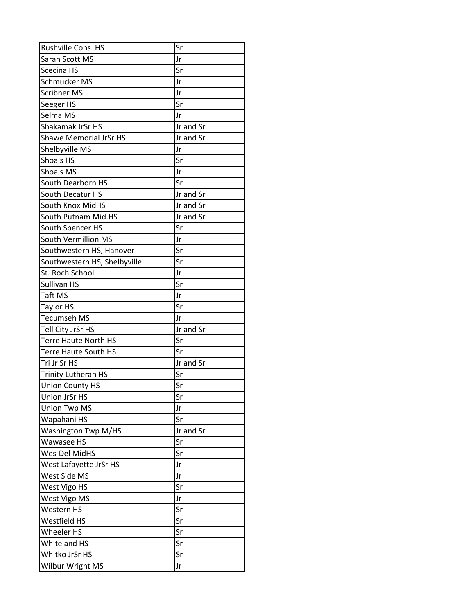| Rushville Cons. HS            | Sr        |
|-------------------------------|-----------|
| Sarah Scott MS                | Jr        |
| Scecina HS                    | Sr        |
| <b>Schmucker MS</b>           | Jr        |
| <b>Scribner MS</b>            | Jr        |
| Seeger HS                     | Sr        |
| Selma MS                      | Jr        |
| Shakamak JrSr HS              | Jr and Sr |
| <b>Shawe Memorial JrSr HS</b> | Jr and Sr |
| Shelbyville MS                | Jr        |
| <b>Shoals HS</b>              | Sr        |
| <b>Shoals MS</b>              | Jr        |
| <b>South Dearborn HS</b>      | Sr        |
| South Decatur HS              | Jr and Sr |
| South Knox MidHS              | Jr and Sr |
| South Putnam Mid.HS           | Jr and Sr |
| South Spencer HS              | Sr        |
| South Vermillion MS           | Jr        |
| Southwestern HS, Hanover      | Sr        |
| Southwestern HS, Shelbyville  | Sr        |
| St. Roch School               | Jr        |
| Sullivan HS                   | Sr        |
| <b>Taft MS</b>                | Jr        |
| <b>Taylor HS</b>              | Sr        |
| <b>Tecumseh MS</b>            | Jr        |
| Tell City JrSr HS             | Jr and Sr |
| <b>Terre Haute North HS</b>   | Sr        |
| <b>Terre Haute South HS</b>   | Sr        |
| Tri Jr Sr HS                  | Jr and Sr |
| <b>Trinity Lutheran HS</b>    | Sr        |
| <b>Union County HS</b>        | Sr        |
| <b>Union JrSr HS</b>          | Sr        |
| <b>Union Twp MS</b>           | Jr        |
| Wapahani HS                   | Sr        |
| Washington Twp M/HS           | Jr and Sr |
| Wawasee HS                    | Sr        |
| Wes-Del MidHS                 | Sr        |
| West Lafayette JrSr HS        | Jr        |
| West Side MS                  | Jr        |
| West Vigo HS                  | Sr        |
| West Vigo MS                  | Jr        |
| Western HS                    | Sr        |
| Westfield HS                  | Sr        |
| <b>Wheeler HS</b>             | Sr        |
| <b>Whiteland HS</b>           | Sr        |
| Whitko JrSr HS                | Sr        |
| Wilbur Wright MS              | Jr        |